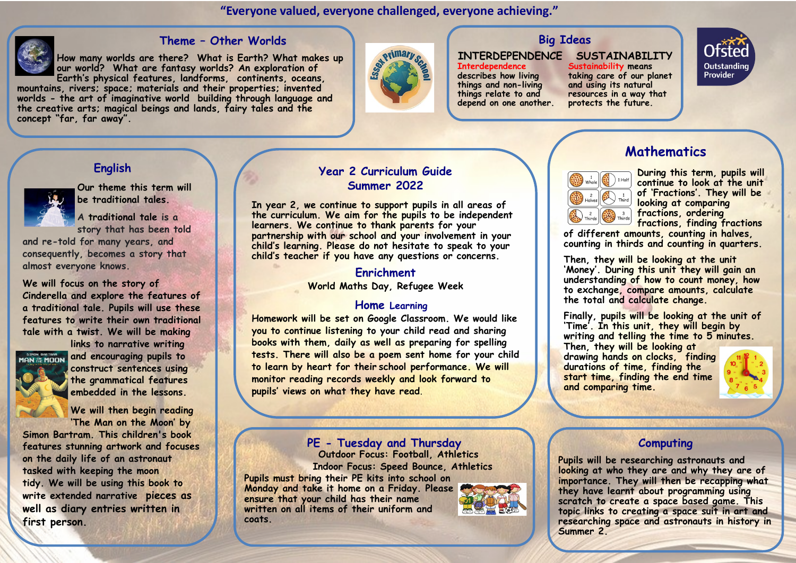**"Everyone valued, everyone challenged, everyone achieving."** 



## **Theme – Other Worlds**

**How many worlds are there? What is Earth? What makes up our world? What are fantasy worlds? An exploration of Earth's physical features, landforms, continents, oceans,** 

**mountains, rivers; space; materials and their properties; invented worlds - the art of imaginative world building through language and the creative arts; magical beings and lands, fairy tales and the concept "far, far away".**



# **Big Ideas**

# **INTERDEPENDENCE**

**Interdependence describes how living things and non-living things relate to and depend on one another.**  **SUSTAINABILITY Sustainability means taking care of our planet and using its natural resources in a way that protects the future.**



# **English**



**Our theme this term will be traditional tales.** 

**A traditional tale is a story that has been told** 

**and re-told for many years, and consequently, becomes a story that almost everyone knows.**

**We will focus on the story of Cinderella and explore the features of a traditional tale. Pupils will use these features to write their own traditional tale with a twist. We will be making** 



**links to narrative writing and encouraging pupils to construct sentences using the grammatical features embedded in the lessons.**



**Simon Bartram. This children's book features stunning artwork and focuses on the daily life of an astronaut tasked with keeping the moon tidy. We will be using this book to write extended narrative pieces as well as diary entries written in first person.**

## **Year 2 Curriculum Guide Summer 2022**

**In year 2, we continue to support pupils in all areas of the curriculum. We aim for the pupils to be independent learners. We continue to thank parents for your partnership with our school and your involvement in your child's learning. Please do not hesitate to speak to your child's teacher if you have any questions or concerns.** 

### **Enrichment**

**World Maths Day, Refugee Week** 

#### **Home Learning**

**Homework will be set on Google Classroom. We would like you to continue listening to your child read and sharing books with them, daily as well as preparing for spelling tests. There will also be a poem sent home for your child to learn by heart for their school performance. We will monitor reading records weekly and look forward to pupils' views on what they have read**.

#### **PE - Tuesday and Thursday Outdoor Focus: Football, Athletics Indoor Focus: Speed Bounce, Athletics**

**Pupils must bring their PE kits into school on Monday and take it home on a Friday. Please ensure that your child has their name written on all items of their uniform and coats.**





**During this term, pupils will continue to look at the unit of 'Fractions'. They will be looking at comparing fractions, ordering fractions, finding fractions** 

**of different amounts, counting in halves, counting in thirds and counting in quarters.** 

**Mathematics**

**Then, they will be looking at the unit 'Money'. During this unit they will gain an understanding of how to count money, how to exchange, compare amounts, calculate the total and calculate change.** 

**Finally, pupils will be looking at the unit of 'Time'. In this unit, they will begin by writing and telling the time to 5 minutes. Then, they will be looking at drawing hands on clocks, finding durations of time, finding the start time, finding the end time and comparing time.** 



## **Computing**

**Pupils will be researching astronauts and looking at who they are and why they are of importance. They will then be recapping what they have learnt about programming using scratch to create a space based game. This topic links to creating a space suit in art and researching space and astronauts in history in Summer 2.**